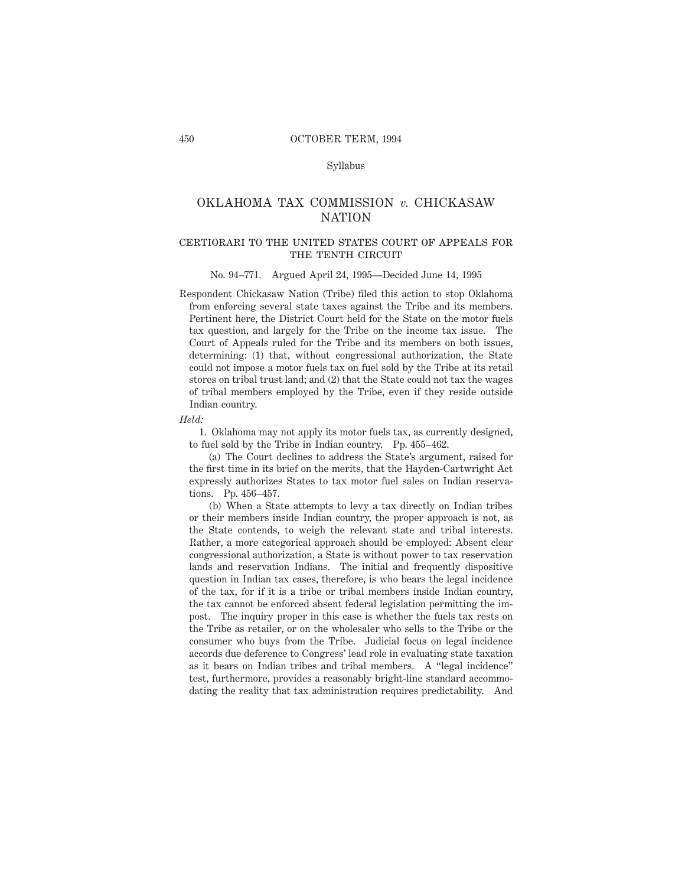# Syllabus

# OKLAHOMA TAX COMMISSION *v.* CHICKASAW NATION

# certiorari to the united states court of appeals forTHE TENTH CIRCUIT

#### No. 94–771. Argued April 24, 1995—Decided June 14, 1995

Respondent Chickasaw Nation (Tribe) filed this action to stop Oklahoma from enforcing several state taxes against the Tribe and its members. Pertinent here, the District Court held for the State on the motor fuels tax question, and largely for the Tribe on the income tax issue. The Court of Appeals ruled for the Tribe and its members on both issues, determining: (1) that, without congressional authorization, the State could not impose a motor fuels tax on fuel sold by the Tribe at its retail stores on tribal trust land; and (2) that the State could not tax the wages of tribal members employed by the Tribe, even if they reside outside Indian country.

*Held:*

1. Oklahoma may not apply its motor fuels tax, as currently designed, to fuel sold by the Tribe in Indian country. Pp. 455–462.

(a) The Court declines to address the State's argument, raised for the first time in its brief on the merits, that the Hayden-Cartwright Act expressly authorizes States to tax motor fuel sales on Indian reservations. Pp. 456–457.

(b) When a State attempts to levy a tax directly on Indian tribes or their members inside Indian country, the proper approach is not, as the State contends, to weigh the relevant state and tribal interests. Rather, a more categorical approach should be employed: Absent clear congressional authorization, a State is without power to tax reservation lands and reservation Indians. The initial and frequently dispositive question in Indian tax cases, therefore, is who bears the legal incidence of the tax, for if it is a tribe or tribal members inside Indian country, the tax cannot be enforced absent federal legislation permitting the impost. The inquiry proper in this case is whether the fuels tax rests on the Tribe as retailer, or on the wholesaler who sells to the Tribe or the consumer who buys from the Tribe. Judicial focus on legal incidence accords due deference to Congress' lead role in evaluating state taxation as it bears on Indian tribes and tribal members. A "legal incidence" test, furthermore, provides a reasonably bright-line standard accommodating the reality that tax administration requires predictability. And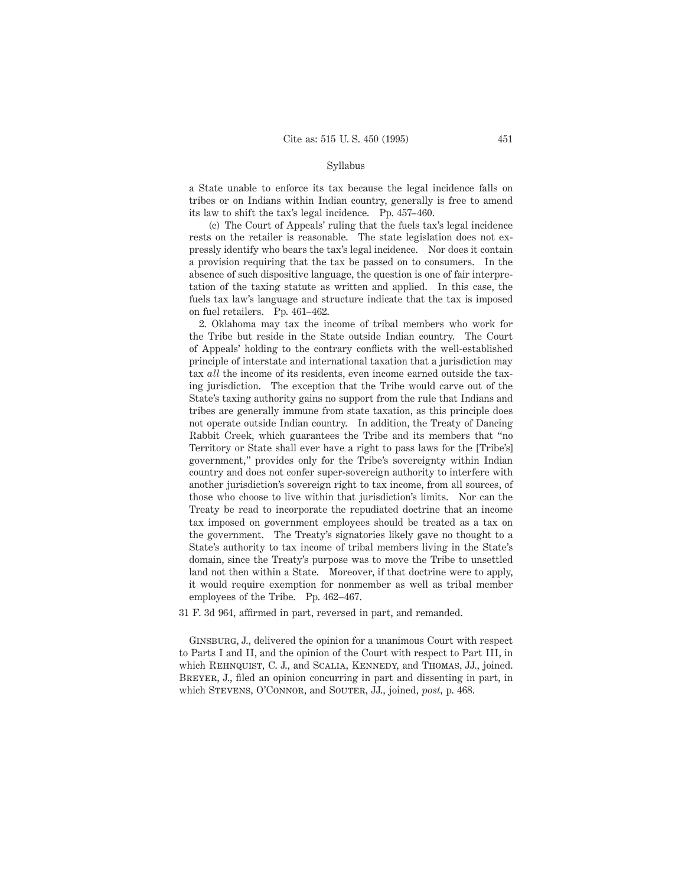### Syllabus

a State unable to enforce its tax because the legal incidence falls on tribes or on Indians within Indian country, generally is free to amend its law to shift the tax's legal incidence. Pp. 457–460.

(c) The Court of Appeals' ruling that the fuels tax's legal incidence rests on the retailer is reasonable. The state legislation does not expressly identify who bears the tax's legal incidence. Nor does it contain a provision requiring that the tax be passed on to consumers. In the absence of such dispositive language, the question is one of fair interpretation of the taxing statute as written and applied. In this case, the fuels tax law's language and structure indicate that the tax is imposed on fuel retailers. Pp. 461–462.

2. Oklahoma may tax the income of tribal members who work for the Tribe but reside in the State outside Indian country. The Court of Appeals' holding to the contrary conflicts with the well-established principle of interstate and international taxation that a jurisdiction may tax *all* the income of its residents, even income earned outside the taxing jurisdiction. The exception that the Tribe would carve out of the State's taxing authority gains no support from the rule that Indians and tribes are generally immune from state taxation, as this principle does not operate outside Indian country. In addition, the Treaty of Dancing Rabbit Creek, which guarantees the Tribe and its members that "no Territory or State shall ever have a right to pass laws for the [Tribe's] government," provides only for the Tribe's sovereignty within Indian country and does not confer super-sovereign authority to interfere with another jurisdiction's sovereign right to tax income, from all sources, of those who choose to live within that jurisdiction's limits. Nor can the Treaty be read to incorporate the repudiated doctrine that an income tax imposed on government employees should be treated as a tax on the government. The Treaty's signatories likely gave no thought to a State's authority to tax income of tribal members living in the State's domain, since the Treaty's purpose was to move the Tribe to unsettled land not then within a State. Moreover, if that doctrine were to apply, it would require exemption for nonmember as well as tribal member employees of the Tribe. Pp. 462–467.

31 F. 3d 964, affirmed in part, reversed in part, and remanded.

Ginsburg, J., delivered the opinion for a unanimous Court with respect to Parts I and II, and the opinion of the Court with respect to Part III, in which REHNQUIST, C. J., and SCALIA, KENNEDY, and THOMAS, JJ., joined. Breyer, J., filed an opinion concurring in part and dissenting in part, in which Stevens, O'Connor, and Souter, JJ., joined, *post,* p. 468.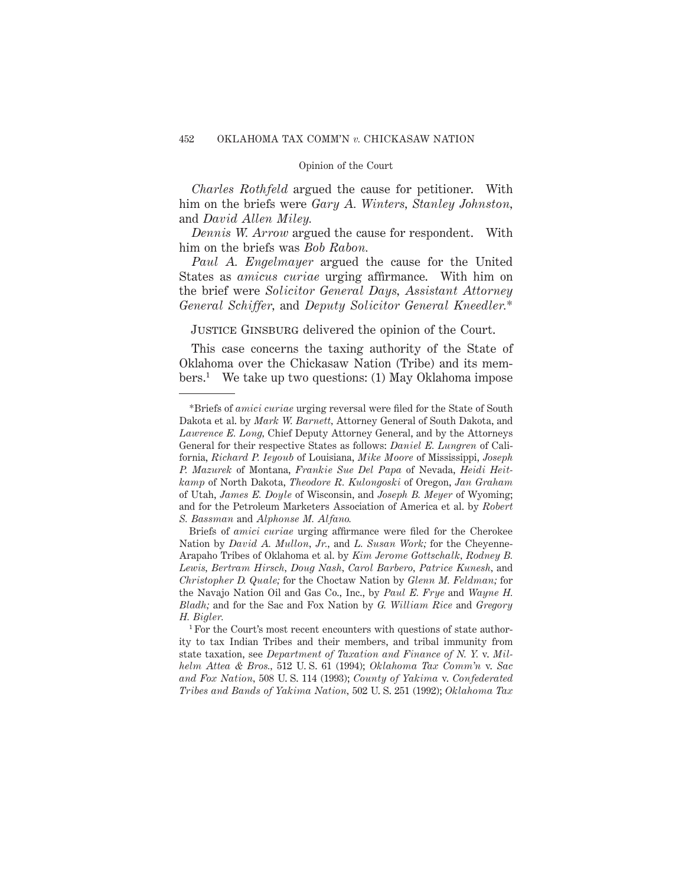*Charles Rothfeld* argued the cause for petitioner. With him on the briefs were *Gary A. Winters, Stanley Johnston,* and *David Allen Miley.*

*Dennis W. Arrow* argued the cause for respondent. With him on the briefs was *Bob Rabon.*

*Paul A. Engelmayer* argued the cause for the United States as *amicus curiae* urging affirmance. With him on the brief were *Solicitor General Days, Assistant Attorney General Schiffer,* and *Deputy Solicitor General Kneedler.*\*

JUSTICE GINSBURG delivered the opinion of the Court.

This case concerns the taxing authority of the State of Oklahoma over the Chickasaw Nation (Tribe) and its members.1 We take up two questions: (1) May Oklahoma impose

<sup>\*</sup>Briefs of *amici curiae* urging reversal were filed for the State of South Dakota et al. by *Mark W. Barnett,* Attorney General of South Dakota, and *Lawrence E. Long,* Chief Deputy Attorney General, and by the Attorneys General for their respective States as follows: *Daniel E. Lungren* of California, *Richard P. Ieyoub* of Louisiana, *Mike Moore* of Mississippi, *Joseph P. Mazurek* of Montana, *Frankie Sue Del Papa* of Nevada, *Heidi Heitkamp* of North Dakota, *Theodore R. Kulongoski* of Oregon, *Jan Graham* of Utah, *James E. Doyle* of Wisconsin, and *Joseph B. Meyer* of Wyoming; and for the Petroleum Marketers Association of America et al. by *Robert S. Bassman* and *Alphonse M. Alfano.*

Briefs of *amici curiae* urging affirmance were filed for the Cherokee Nation by *David A. Mullon, Jr.,* and *L. Susan Work;* for the Cheyenne-Arapaho Tribes of Oklahoma et al. by *Kim Jerome Gottschalk, Rodney B. Lewis, Bertram Hirsch, Doug Nash, Carol Barbero, Patrice Kunesh,* and *Christopher D. Quale;* for the Choctaw Nation by *Glenn M. Feldman;* for the Navajo Nation Oil and Gas Co., Inc., by *Paul E. Frye* and *Wayne H. Bladh;* and for the Sac and Fox Nation by *G. William Rice* and *Gregory H. Bigler.*

<sup>&</sup>lt;sup>1</sup> For the Court's most recent encounters with questions of state authority to tax Indian Tribes and their members, and tribal immunity from state taxation, see *Department of Taxation and Finance of N. Y.* v. *Milhelm Attea & Bros.,* 512 U. S. 61 (1994); *Oklahoma Tax Comm'n* v. *Sac and Fox Nation,* 508 U. S. 114 (1993); *County of Yakima* v. *Confederated Tribes and Bands of Yakima Nation,* 502 U. S. 251 (1992); *Oklahoma Tax*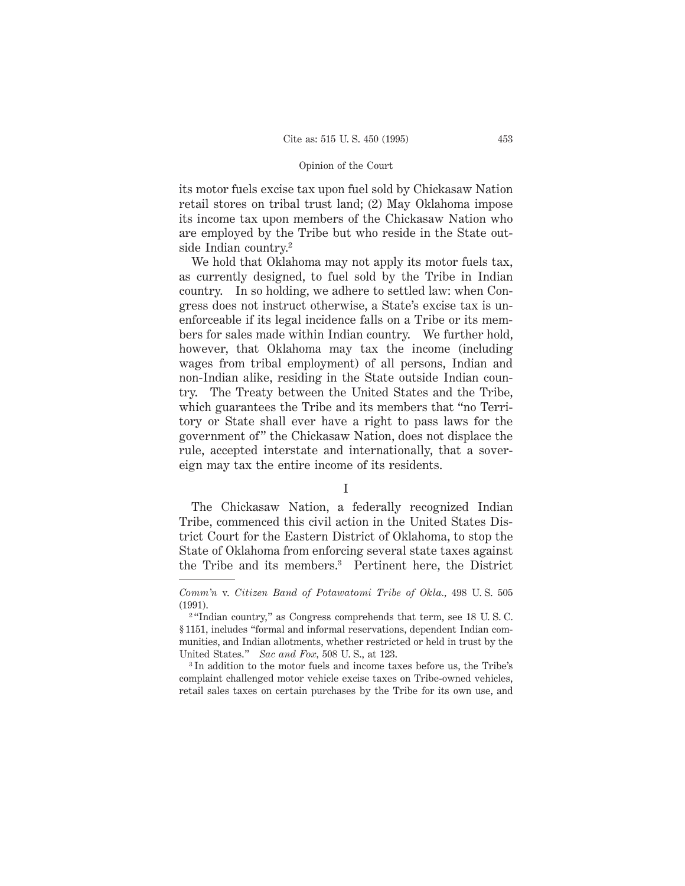its motor fuels excise tax upon fuel sold by Chickasaw Nation retail stores on tribal trust land; (2) May Oklahoma impose its income tax upon members of the Chickasaw Nation who are employed by the Tribe but who reside in the State outside Indian country.2

We hold that Oklahoma may not apply its motor fuels tax, as currently designed, to fuel sold by the Tribe in Indian country. In so holding, we adhere to settled law: when Congress does not instruct otherwise, a State's excise tax is unenforceable if its legal incidence falls on a Tribe or its members for sales made within Indian country. We further hold, however, that Oklahoma may tax the income (including wages from tribal employment) of all persons, Indian and non-Indian alike, residing in the State outside Indian country. The Treaty between the United States and the Tribe, which guarantees the Tribe and its members that "no Territory or State shall ever have a right to pass laws for the government of" the Chickasaw Nation, does not displace the rule, accepted interstate and internationally, that a sovereign may tax the entire income of its residents.

The Chickasaw Nation, a federally recognized Indian Tribe, commenced this civil action in the United States District Court for the Eastern District of Oklahoma, to stop the State of Oklahoma from enforcing several state taxes against the Tribe and its members.3 Pertinent here, the District

<sup>3</sup> In addition to the motor fuels and income taxes before us, the Tribe's complaint challenged motor vehicle excise taxes on Tribe-owned vehicles, retail sales taxes on certain purchases by the Tribe for its own use, and

I

*Comm'n* v. *Citizen Band of Potawatomi Tribe of Okla.,* 498 U. S. 505 (1991).

<sup>&</sup>lt;sup>2</sup> "Indian country," as Congress comprehends that term, see 18 U.S.C. § 1151, includes "formal and informal reservations, dependent Indian communities, and Indian allotments, whether restricted or held in trust by the United States." *Sac and Fox,* 508 U. S., at 123.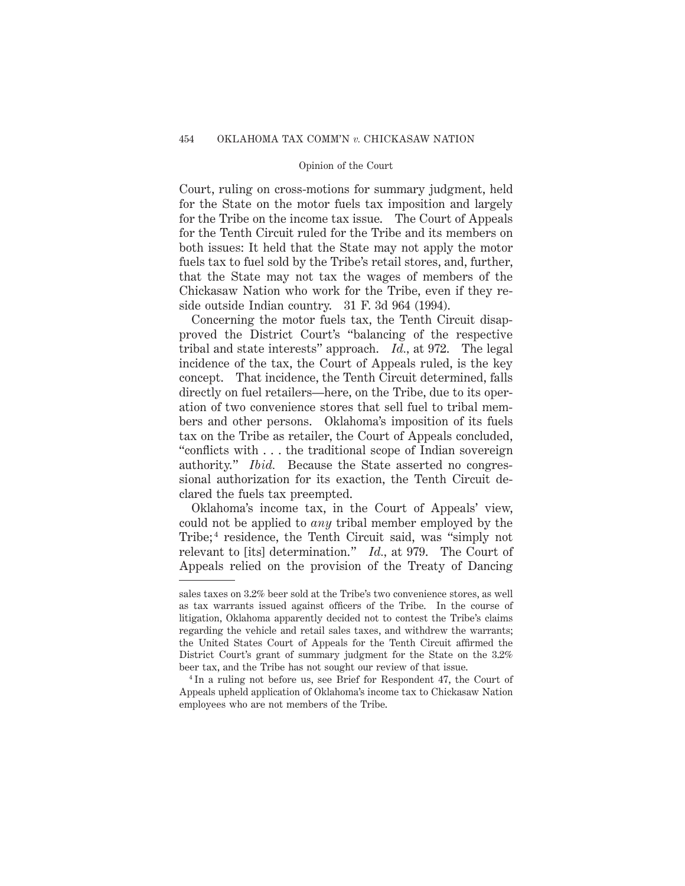Court, ruling on cross-motions for summary judgment, held for the State on the motor fuels tax imposition and largely for the Tribe on the income tax issue. The Court of Appeals for the Tenth Circuit ruled for the Tribe and its members on both issues: It held that the State may not apply the motor fuels tax to fuel sold by the Tribe's retail stores, and, further, that the State may not tax the wages of members of the Chickasaw Nation who work for the Tribe, even if they reside outside Indian country. 31 F. 3d 964 (1994).

Concerning the motor fuels tax, the Tenth Circuit disapproved the District Court's "balancing of the respective tribal and state interests" approach. *Id.,* at 972. The legal incidence of the tax, the Court of Appeals ruled, is the key concept. That incidence, the Tenth Circuit determined, falls directly on fuel retailers—here, on the Tribe, due to its operation of two convenience stores that sell fuel to tribal members and other persons. Oklahoma's imposition of its fuels tax on the Tribe as retailer, the Court of Appeals concluded, "conflicts with . . . the traditional scope of Indian sovereign authority." *Ibid.* Because the State asserted no congressional authorization for its exaction, the Tenth Circuit declared the fuels tax preempted.

Oklahoma's income tax, in the Court of Appeals' view, could not be applied to *any* tribal member employed by the Tribe;<sup>4</sup> residence, the Tenth Circuit said, was "simply not relevant to [its] determination." *Id.,* at 979. The Court of Appeals relied on the provision of the Treaty of Dancing

sales taxes on 3.2% beer sold at the Tribe's two convenience stores, as well as tax warrants issued against officers of the Tribe. In the course of litigation, Oklahoma apparently decided not to contest the Tribe's claims regarding the vehicle and retail sales taxes, and withdrew the warrants; the United States Court of Appeals for the Tenth Circuit affirmed the District Court's grant of summary judgment for the State on the 3.2% beer tax, and the Tribe has not sought our review of that issue.

<sup>4</sup> In a ruling not before us, see Brief for Respondent 47, the Court of Appeals upheld application of Oklahoma's income tax to Chickasaw Nation employees who are not members of the Tribe.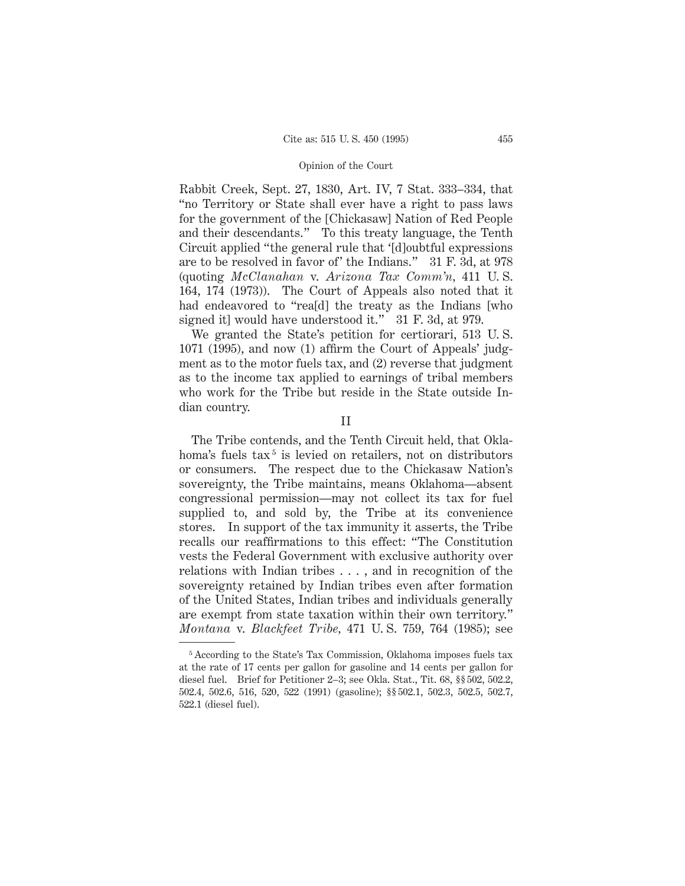Rabbit Creek, Sept. 27, 1830, Art. IV, 7 Stat. 333–334, that "no Territory or State shall ever have a right to pass laws for the government of the [Chickasaw] Nation of Red People and their descendants." To this treaty language, the Tenth Circuit applied "the general rule that '[d]oubtful expressions are to be resolved in favor of' the Indians." 31 F. 3d, at 978 (quoting *McClanahan* v. *Arizona Tax Comm'n,* 411 U. S. 164, 174 (1973)). The Court of Appeals also noted that it had endeavored to "rea<sup>[d]</sup> the treaty as the Indians [who signed it] would have understood it." 31 F. 3d, at 979.

We granted the State's petition for certiorari, 513 U. S. 1071 (1995), and now (1) affirm the Court of Appeals' judgment as to the motor fuels tax, and (2) reverse that judgment as to the income tax applied to earnings of tribal members who work for the Tribe but reside in the State outside Indian country.

II

The Tribe contends, and the Tenth Circuit held, that Oklahoma's fuels  $tax^5$  is levied on retailers, not on distributors or consumers. The respect due to the Chickasaw Nation's sovereignty, the Tribe maintains, means Oklahoma—absent congressional permission—may not collect its tax for fuel supplied to, and sold by, the Tribe at its convenience stores. In support of the tax immunity it asserts, the Tribe recalls our reaffirmations to this effect: "The Constitution vests the Federal Government with exclusive authority over relations with Indian tribes . . . , and in recognition of the sovereignty retained by Indian tribes even after formation of the United States, Indian tribes and individuals generally are exempt from state taxation within their own territory." *Montana* v. *Blackfeet Tribe,* 471 U. S. 759, 764 (1985); see

<sup>5</sup> According to the State's Tax Commission, Oklahoma imposes fuels tax at the rate of 17 cents per gallon for gasoline and 14 cents per gallon for diesel fuel. Brief for Petitioner 2–3; see Okla. Stat., Tit. 68, §§ 502, 502.2, 502.4, 502.6, 516, 520, 522 (1991) (gasoline); §§ 502.1, 502.3, 502.5, 502.7, 522.1 (diesel fuel).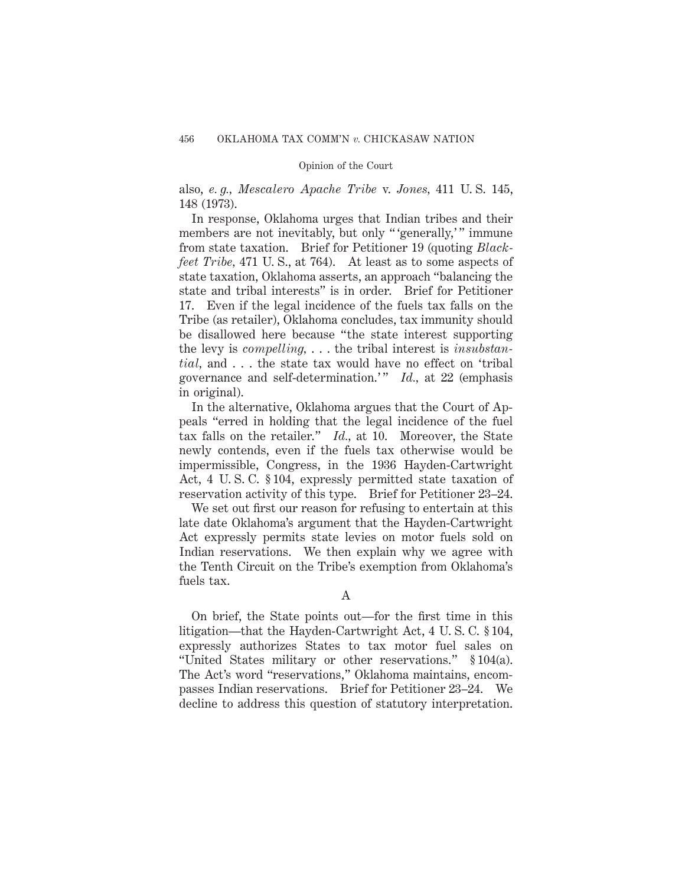also, *e. g., Mescalero Apache Tribe* v. *Jones,* 411 U. S. 145, 148 (1973).

In response, Oklahoma urges that Indian tribes and their members are not inevitably, but only "'generally,'" immune from state taxation. Brief for Petitioner 19 (quoting *Blackfeet Tribe,* 471 U. S., at 764). At least as to some aspects of state taxation, Oklahoma asserts, an approach "balancing the state and tribal interests" is in order. Brief for Petitioner 17. Even if the legal incidence of the fuels tax falls on the Tribe (as retailer), Oklahoma concludes, tax immunity should be disallowed here because "the state interest supporting the levy is *compelling,* . . . the tribal interest is *insubstantial,* and . . . the state tax would have no effect on 'tribal governance and self-determination.'" *Id.*, at 22 (emphasis in original).

In the alternative, Oklahoma argues that the Court of Appeals "erred in holding that the legal incidence of the fuel tax falls on the retailer." *Id.,* at 10. Moreover, the State newly contends, even if the fuels tax otherwise would be impermissible, Congress, in the 1936 Hayden-Cartwright Act, 4 U. S. C. § 104, expressly permitted state taxation of reservation activity of this type. Brief for Petitioner 23–24.

We set out first our reason for refusing to entertain at this late date Oklahoma's argument that the Hayden-Cartwright Act expressly permits state levies on motor fuels sold on Indian reservations. We then explain why we agree with the Tenth Circuit on the Tribe's exemption from Oklahoma's fuels tax.

A

On brief, the State points out—for the first time in this litigation—that the Hayden-Cartwright Act, 4 U. S. C. § 104, expressly authorizes States to tax motor fuel sales on "United States military or other reservations." § 104(a). The Act's word "reservations," Oklahoma maintains, encompasses Indian reservations. Brief for Petitioner 23–24. We decline to address this question of statutory interpretation.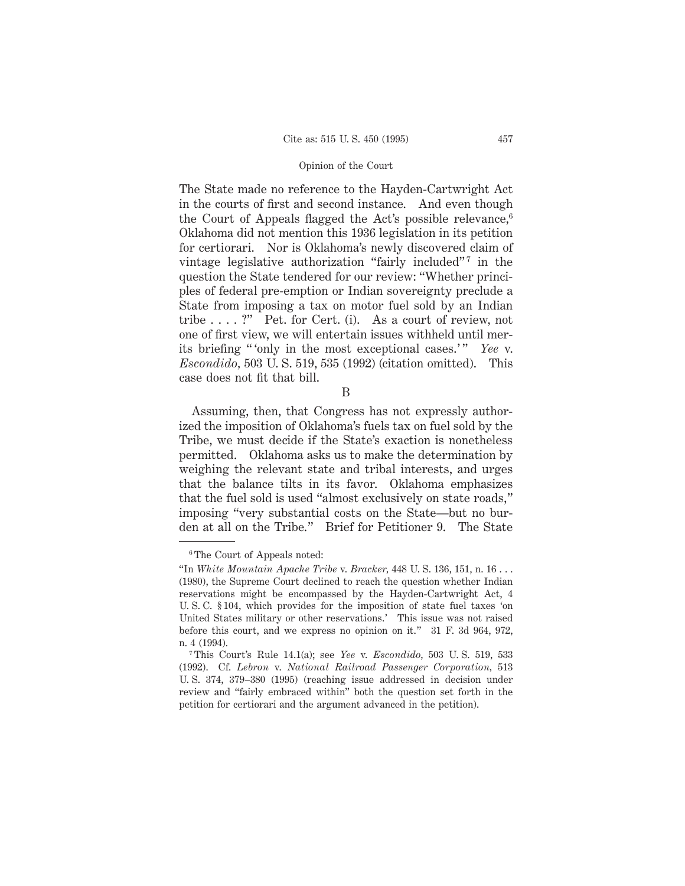The State made no reference to the Hayden-Cartwright Act in the courts of first and second instance. And even though the Court of Appeals flagged the Act's possible relevance,<sup>6</sup> Oklahoma did not mention this 1936 legislation in its petition for certiorari. Nor is Oklahoma's newly discovered claim of vintage legislative authorization "fairly included"<sup>7</sup> in the question the State tendered for our review: "Whether principles of federal pre-emption or Indian sovereignty preclude a State from imposing a tax on motor fuel sold by an Indian tribe . . . . ?" Pet. for Cert. (i). As a court of review, not one of first view, we will entertain issues withheld until merits briefing "only in the most exceptional cases.'" *Yee* v. *Escondido,* 503 U. S. 519, 535 (1992) (citation omitted). This case does not fit that bill.

B

Assuming, then, that Congress has not expressly authorized the imposition of Oklahoma's fuels tax on fuel sold by the Tribe, we must decide if the State's exaction is nonetheless permitted. Oklahoma asks us to make the determination by weighing the relevant state and tribal interests, and urges that the balance tilts in its favor. Oklahoma emphasizes that the fuel sold is used "almost exclusively on state roads," imposing "very substantial costs on the State—but no burden at all on the Tribe." Brief for Petitioner 9. The State

<sup>6</sup> The Court of Appeals noted:

<sup>&</sup>quot;In *White Mountain Apache Tribe* v. *Bracker,* 448 U. S. 136, 151, n. 16 . . . (1980), the Supreme Court declined to reach the question whether Indian reservations might be encompassed by the Hayden-Cartwright Act, 4 U. S. C. § 104, which provides for the imposition of state fuel taxes 'on United States military or other reservations.' This issue was not raised before this court, and we express no opinion on it." 31 F. 3d 964, 972, n. 4 (1994).

<sup>7</sup> This Court's Rule 14.1(a); see *Yee* v. *Escondido,* 503 U. S. 519, 533 (1992). Cf. *Lebron* v. *National Railroad Passenger Corporation,* 513 U. S. 374, 379–380 (1995) (reaching issue addressed in decision under review and "fairly embraced within" both the question set forth in the petition for certiorari and the argument advanced in the petition).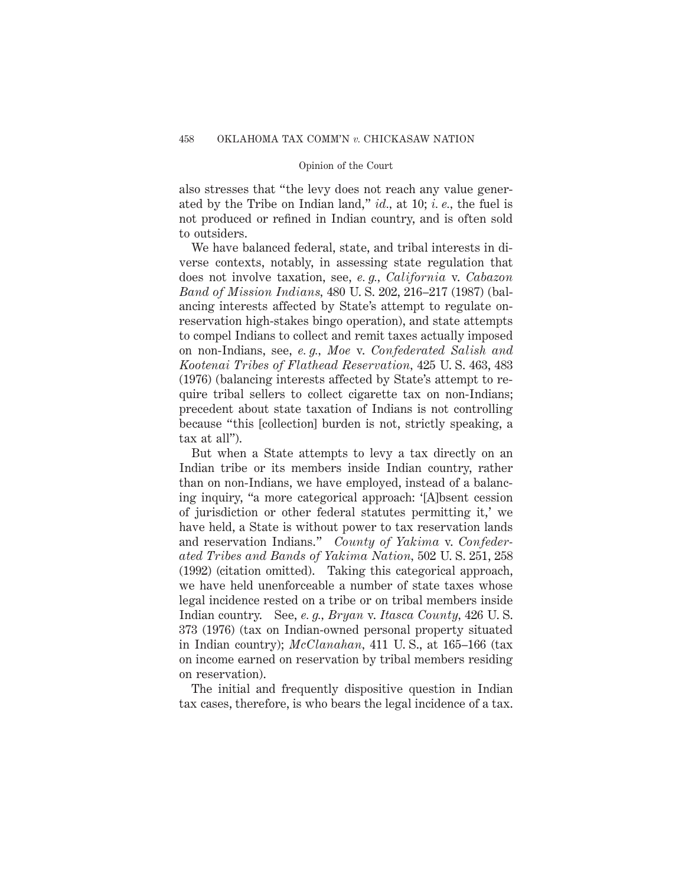also stresses that "the levy does not reach any value generated by the Tribe on Indian land," *id.,* at 10; *i. e.,* the fuel is not produced or refined in Indian country, and is often sold to outsiders.

We have balanced federal, state, and tribal interests in diverse contexts, notably, in assessing state regulation that does not involve taxation, see, *e. g., California* v. *Cabazon Band of Mission Indians,* 480 U. S. 202, 216–217 (1987) (balancing interests affected by State's attempt to regulate onreservation high-stakes bingo operation), and state attempts to compel Indians to collect and remit taxes actually imposed on non-Indians, see, *e. g., Moe* v. *Confederated Salish and Kootenai Tribes of Flathead Reservation,* 425 U. S. 463, 483 (1976) (balancing interests affected by State's attempt to require tribal sellers to collect cigarette tax on non-Indians; precedent about state taxation of Indians is not controlling because "this [collection] burden is not, strictly speaking, a tax at all").

But when a State attempts to levy a tax directly on an Indian tribe or its members inside Indian country, rather than on non-Indians, we have employed, instead of a balancing inquiry, "a more categorical approach: '[A]bsent cession of jurisdiction or other federal statutes permitting it,' we have held, a State is without power to tax reservation lands and reservation Indians." *County of Yakima* v. *Confederated Tribes and Bands of Yakima Nation,* 502 U. S. 251, 258 (1992) (citation omitted). Taking this categorical approach, we have held unenforceable a number of state taxes whose legal incidence rested on a tribe or on tribal members inside Indian country. See, *e. g., Bryan* v. *Itasca County,* 426 U. S. 373 (1976) (tax on Indian-owned personal property situated in Indian country); *McClanahan,* 411 U. S., at 165–166 (tax on income earned on reservation by tribal members residing on reservation).

The initial and frequently dispositive question in Indian tax cases, therefore, is who bears the legal incidence of a tax.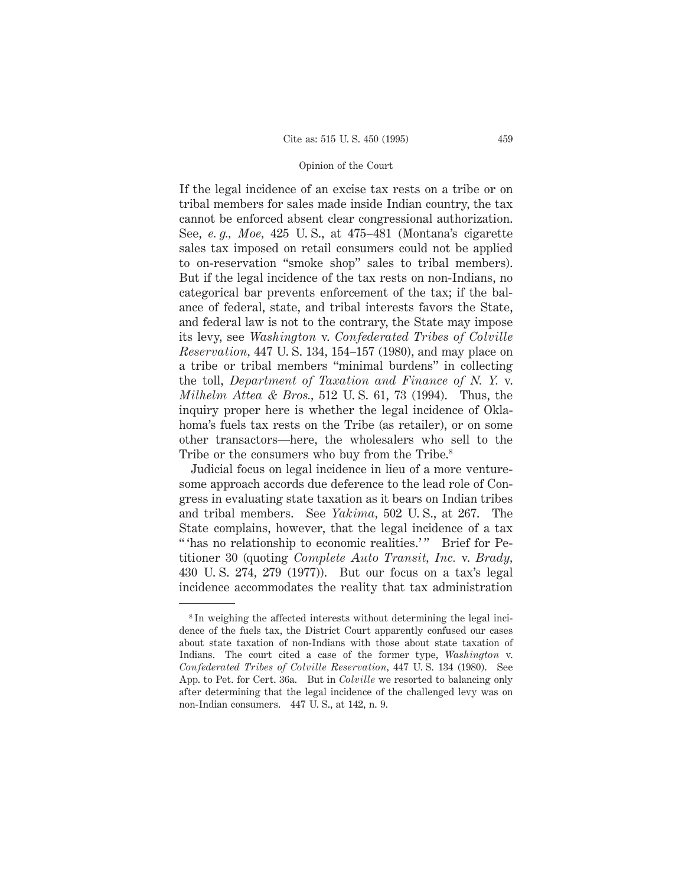If the legal incidence of an excise tax rests on a tribe or on tribal members for sales made inside Indian country, the tax cannot be enforced absent clear congressional authorization. See, *e. g., Moe,* 425 U. S., at 475–481 (Montana's cigarette sales tax imposed on retail consumers could not be applied to on-reservation "smoke shop" sales to tribal members). But if the legal incidence of the tax rests on non-Indians, no categorical bar prevents enforcement of the tax; if the balance of federal, state, and tribal interests favors the State, and federal law is not to the contrary, the State may impose its levy, see *Washington* v. *Confederated Tribes of Colville Reservation,* 447 U. S. 134, 154–157 (1980), and may place on a tribe or tribal members "minimal burdens" in collecting the toll, *Department of Taxation and Finance of N. Y.* v. *Milhelm Attea & Bros.,* 512 U. S. 61, 73 (1994). Thus, the inquiry proper here is whether the legal incidence of Oklahoma's fuels tax rests on the Tribe (as retailer), or on some other transactors—here, the wholesalers who sell to the Tribe or the consumers who buy from the Tribe.<sup>8</sup>

Judicial focus on legal incidence in lieu of a more venturesome approach accords due deference to the lead role of Congress in evaluating state taxation as it bears on Indian tribes and tribal members. See *Yakima,* 502 U. S., at 267. The State complains, however, that the legal incidence of a tax " 'has no relationship to economic realities.'" Brief for Petitioner 30 (quoting *Complete Auto Transit, Inc.* v. *Brady,* 430 U. S. 274, 279 (1977)). But our focus on a tax's legal incidence accommodates the reality that tax administration

<sup>8</sup> In weighing the affected interests without determining the legal incidence of the fuels tax, the District Court apparently confused our cases about state taxation of non-Indians with those about state taxation of Indians. The court cited a case of the former type, *Washington* v. *Confederated Tribes of Colville Reservation,* 447 U. S. 134 (1980). See App. to Pet. for Cert. 36a. But in *Colville* we resorted to balancing only after determining that the legal incidence of the challenged levy was on non-Indian consumers. 447 U. S., at 142, n. 9.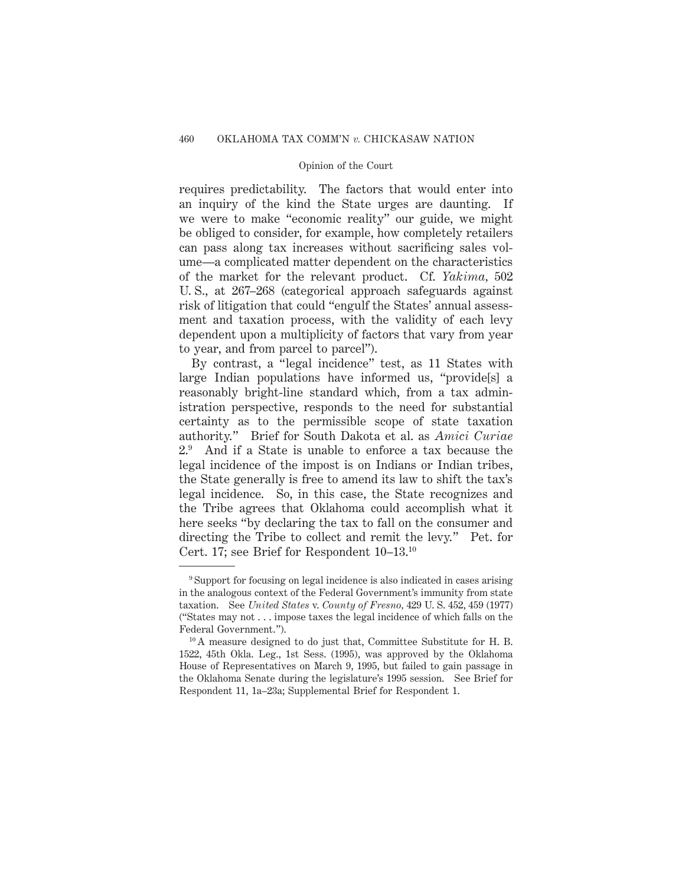requires predictability. The factors that would enter into an inquiry of the kind the State urges are daunting. If we were to make "economic reality" our guide, we might be obliged to consider, for example, how completely retailers can pass along tax increases without sacrificing sales volume—a complicated matter dependent on the characteristics of the market for the relevant product. Cf. *Yakima,* 502 U. S., at 267–268 (categorical approach safeguards against risk of litigation that could "engulf the States' annual assessment and taxation process, with the validity of each levy dependent upon a multiplicity of factors that vary from year to year, and from parcel to parcel").

By contrast, a "legal incidence" test, as 11 States with large Indian populations have informed us, "provide[s] a reasonably bright-line standard which, from a tax administration perspective, responds to the need for substantial certainty as to the permissible scope of state taxation authority." Brief for South Dakota et al. as *Amici Curiae* 2.9 And if a State is unable to enforce a tax because the legal incidence of the impost is on Indians or Indian tribes, the State generally is free to amend its law to shift the tax's legal incidence. So, in this case, the State recognizes and the Tribe agrees that Oklahoma could accomplish what it here seeks "by declaring the tax to fall on the consumer and directing the Tribe to collect and remit the levy." Pet. for Cert. 17; see Brief for Respondent 10–13.10

<sup>9</sup> Support for focusing on legal incidence is also indicated in cases arising in the analogous context of the Federal Government's immunity from state taxation. See *United States* v. *County of Fresno,* 429 U. S. 452, 459 (1977) ("States may not...impose taxes the legal incidence of which falls on the Federal Government.").

<sup>&</sup>lt;sup>10</sup> A measure designed to do just that, Committee Substitute for H. B. 1522, 45th Okla. Leg., 1st Sess. (1995), was approved by the Oklahoma House of Representatives on March 9, 1995, but failed to gain passage in the Oklahoma Senate during the legislature's 1995 session. See Brief for Respondent 11, 1a–23a; Supplemental Brief for Respondent 1.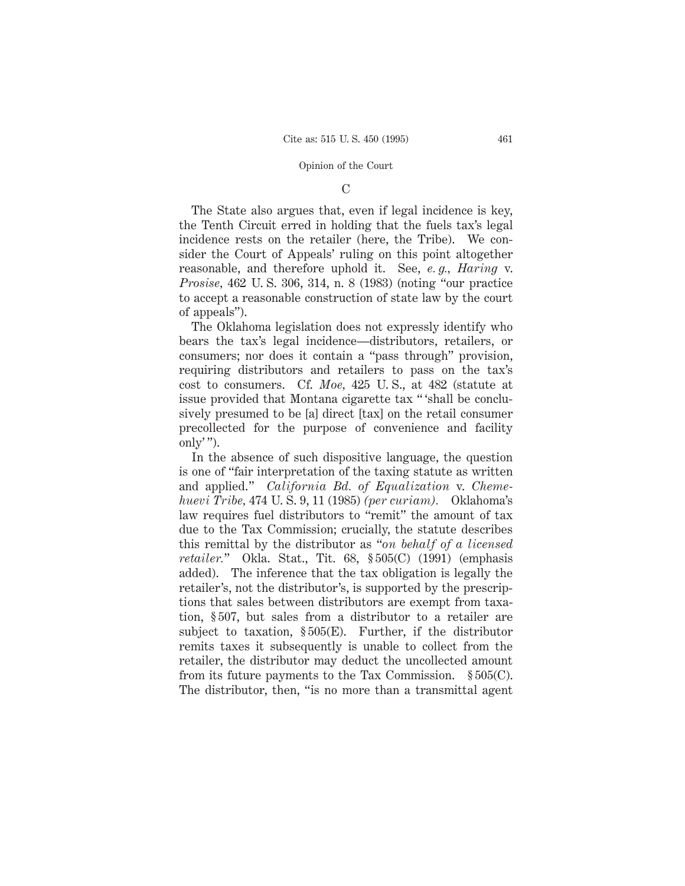# C

The State also argues that, even if legal incidence is key, the Tenth Circuit erred in holding that the fuels tax's legal incidence rests on the retailer (here, the Tribe). We consider the Court of Appeals' ruling on this point altogether reasonable, and therefore uphold it. See, *e. g., Haring* v. *Prosise,* 462 U. S. 306, 314, n. 8 (1983) (noting "our practice to accept a reasonable construction of state law by the court of appeals").

The Oklahoma legislation does not expressly identify who bears the tax's legal incidence—distributors, retailers, or consumers; nor does it contain a "pass through" provision, requiring distributors and retailers to pass on the tax's cost to consumers. Cf. *Moe,* 425 U. S., at 482 (statute at issue provided that Montana cigarette tax " 'shall be conclusively presumed to be [a] direct [tax] on the retail consumer precollected for the purpose of convenience and facility only' ").

In the absence of such dispositive language, the question is one of "fair interpretation of the taxing statute as written and applied." *California Bd. of Equalization* v. *Chemehuevi Tribe,* 474 U. S. 9, 11 (1985) *(per curiam).* Oklahoma's law requires fuel distributors to "remit" the amount of tax due to the Tax Commission; crucially, the statute describes this remittal by the distributor as "*on behalf of a licensed retailer.*" Okla. Stat., Tit. 68, § 505(C) (1991) (emphasis added). The inference that the tax obligation is legally the retailer's, not the distributor's, is supported by the prescriptions that sales between distributors are exempt from taxation, § 507, but sales from a distributor to a retailer are subject to taxation, § 505(E). Further, if the distributor remits taxes it subsequently is unable to collect from the retailer, the distributor may deduct the uncollected amount from its future payments to the Tax Commission. § 505(C). The distributor, then, "is no more than a transmittal agent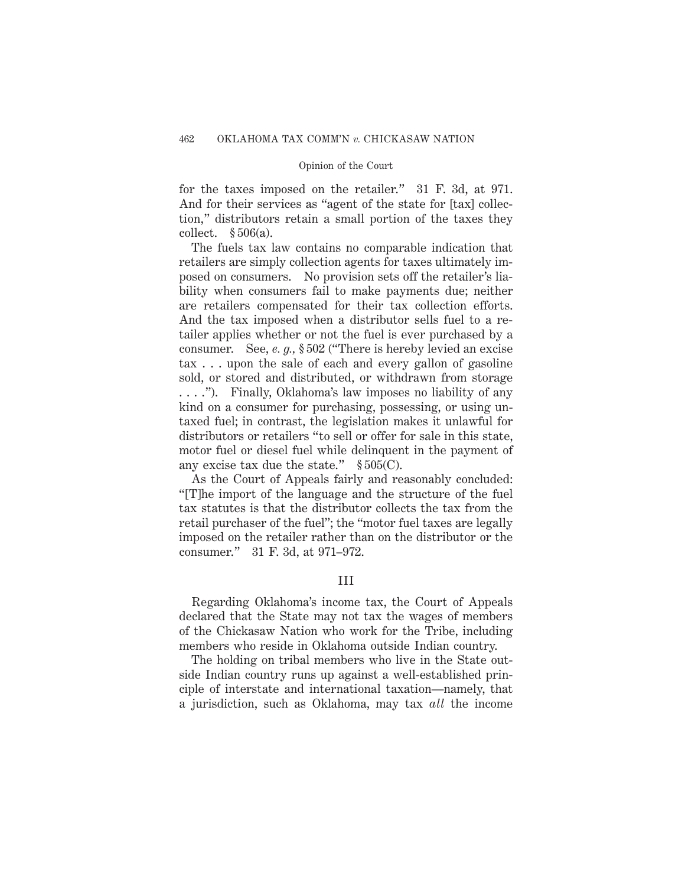for the taxes imposed on the retailer." 31 F. 3d, at 971. And for their services as "agent of the state for [tax] collection," distributors retain a small portion of the taxes they collect.  $§ 506(a)$ .

The fuels tax law contains no comparable indication that retailers are simply collection agents for taxes ultimately imposed on consumers. No provision sets off the retailer's liability when consumers fail to make payments due; neither are retailers compensated for their tax collection efforts. And the tax imposed when a distributor sells fuel to a retailer applies whether or not the fuel is ever purchased by a consumer. See, *e. g.,* § 502 ("There is hereby levied an excise tax . . . upon the sale of each and every gallon of gasoline sold, or stored and distributed, or withdrawn from storage . . . ."). Finally, Oklahoma's law imposes no liability of any kind on a consumer for purchasing, possessing, or using untaxed fuel; in contrast, the legislation makes it unlawful for distributors or retailers "to sell or offer for sale in this state, motor fuel or diesel fuel while delinquent in the payment of any excise tax due the state."  $\S 505(C)$ .

As the Court of Appeals fairly and reasonably concluded: "[T]he import of the language and the structure of the fuel tax statutes is that the distributor collects the tax from the retail purchaser of the fuel"; the "motor fuel taxes are legally imposed on the retailer rather than on the distributor or the consumer." 31 F. 3d, at 971–972.

# III

Regarding Oklahoma's income tax, the Court of Appeals declared that the State may not tax the wages of members of the Chickasaw Nation who work for the Tribe, including members who reside in Oklahoma outside Indian country.

The holding on tribal members who live in the State outside Indian country runs up against a well-established principle of interstate and international taxation—namely, that a jurisdiction, such as Oklahoma, may tax *all* the income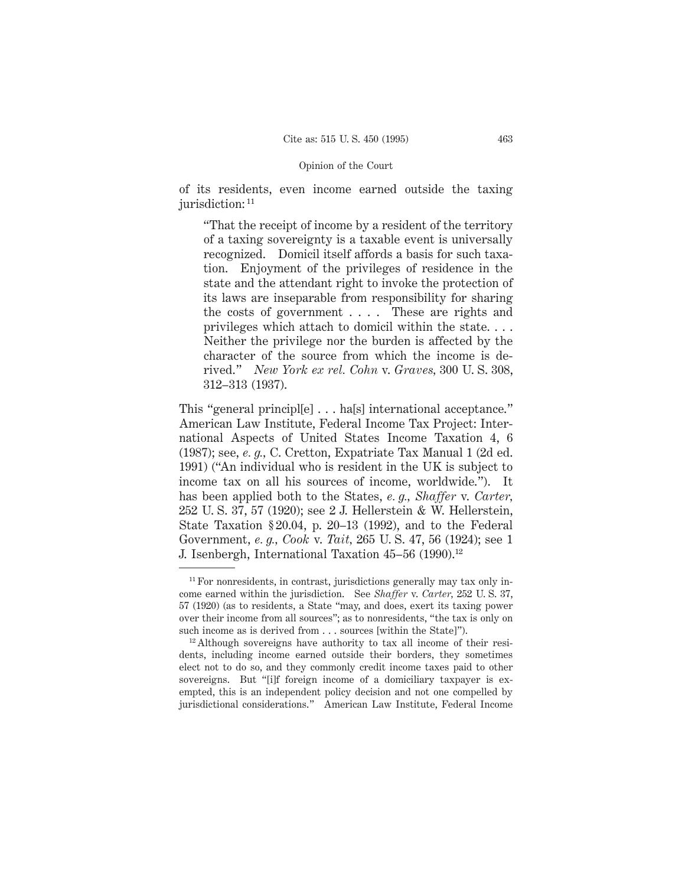of its residents, even income earned outside the taxing jurisdiction: <sup>11</sup>

"That the receipt of income by a resident of the territory of a taxing sovereignty is a taxable event is universally recognized. Domicil itself affords a basis for such taxation. Enjoyment of the privileges of residence in the state and the attendant right to invoke the protection of its laws are inseparable from responsibility for sharing the costs of government . . . . These are rights and privileges which attach to domicil within the state. . . . Neither the privilege nor the burden is affected by the character of the source from which the income is derived." *New York ex rel. Cohn* v. *Graves,* 300 U. S. 308, 312–313 (1937).

This "general principl[e] . . . ha[s] international acceptance." American Law Institute, Federal Income Tax Project: International Aspects of United States Income Taxation 4, 6 (1987); see, *e. g.,* C. Cretton, Expatriate Tax Manual 1 (2d ed. 1991) ("An individual who is resident in the UK is subject to income tax on all his sources of income, worldwide."). It has been applied both to the States, *e. g., Shaffer* v. *Carter,* 252 U. S. 37, 57 (1920); see 2 J. Hellerstein & W. Hellerstein, State Taxation § 20.04, p. 20–13 (1992), and to the Federal Government, *e. g., Cook* v. *Tait,* 265 U. S. 47, 56 (1924); see 1 J. Isenbergh, International Taxation 45-56 (1990).<sup>12</sup>

<sup>&</sup>lt;sup>11</sup> For nonresidents, in contrast, jurisdictions generally may tax only income earned within the jurisdiction. See *Shaffer* v. *Carter,* 252 U. S. 37, 57 (1920) (as to residents, a State "may, and does, exert its taxing power over their income from all sources"; as to nonresidents, "the tax is only on such income as is derived from... sources [within the State]").

<sup>&</sup>lt;sup>12</sup> Although sovereigns have authority to tax all income of their residents, including income earned outside their borders, they sometimes elect not to do so, and they commonly credit income taxes paid to other sovereigns. But "[i]f foreign income of a domiciliary taxpayer is exempted, this is an independent policy decision and not one compelled by jurisdictional considerations." American Law Institute, Federal Income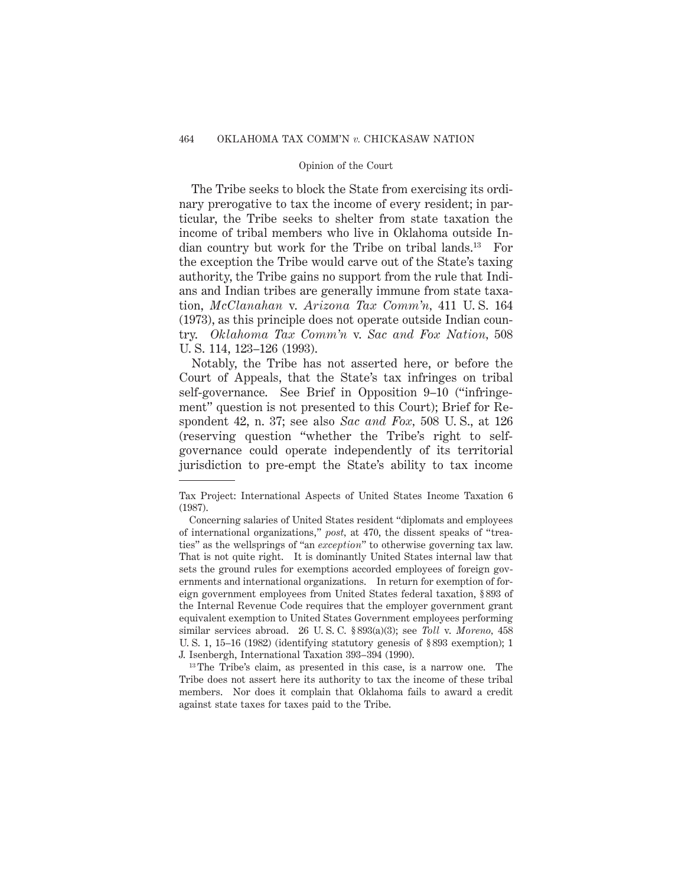The Tribe seeks to block the State from exercising its ordinary prerogative to tax the income of every resident; in particular, the Tribe seeks to shelter from state taxation the income of tribal members who live in Oklahoma outside Indian country but work for the Tribe on tribal lands.13 For the exception the Tribe would carve out of the State's taxing authority, the Tribe gains no support from the rule that Indians and Indian tribes are generally immune from state taxation, *McClanahan* v. *Arizona Tax Comm'n,* 411 U. S. 164 (1973), as this principle does not operate outside Indian country. *Oklahoma Tax Comm'n* v. *Sac and Fox Nation,* 508 U. S. 114, 123–126 (1993).

Notably, the Tribe has not asserted here, or before the Court of Appeals, that the State's tax infringes on tribal self-governance. See Brief in Opposition 9–10 ("infringement" question is not presented to this Court); Brief for Respondent 42, n. 37; see also *Sac and Fox,* 508 U. S., at 126 (reserving question "whether the Tribe's right to selfgovernance could operate independently of its territorial jurisdiction to pre-empt the State's ability to tax income

<sup>13</sup> The Tribe's claim, as presented in this case, is a narrow one. The Tribe does not assert here its authority to tax the income of these tribal members. Nor does it complain that Oklahoma fails to award a credit against state taxes for taxes paid to the Tribe.

Tax Project: International Aspects of United States Income Taxation 6 (1987).

Concerning salaries of United States resident "diplomats and employees of international organizations," *post,* at 470, the dissent speaks of "treaties" as the wellsprings of "an *exception*" to otherwise governing tax law. That is not quite right. It is dominantly United States internal law that sets the ground rules for exemptions accorded employees of foreign governments and international organizations. In return for exemption of foreign government employees from United States federal taxation, § 893 of the Internal Revenue Code requires that the employer government grant equivalent exemption to United States Government employees performing similar services abroad. 26 U. S. C. § 893(a)(3); see *Toll* v. *Moreno,* 458 U. S. 1, 15–16 (1982) (identifying statutory genesis of § 893 exemption); 1 J. Isenbergh, International Taxation 393–394 (1990).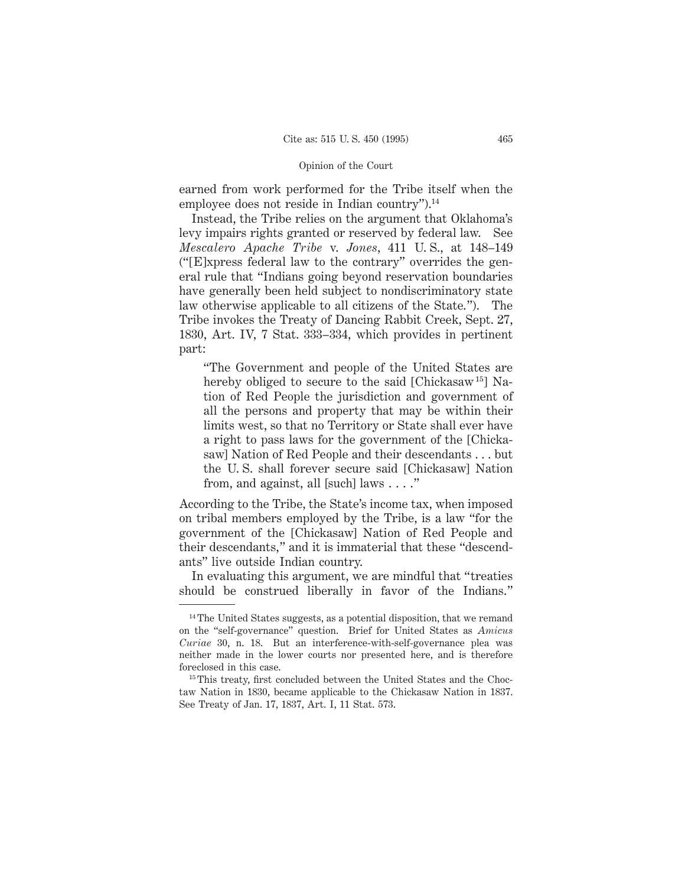earned from work performed for the Tribe itself when the employee does not reside in Indian country").<sup>14</sup>

Instead, the Tribe relies on the argument that Oklahoma's levy impairs rights granted or reserved by federal law. See *Mescalero Apache Tribe* v. *Jones*, 411 U. S., at 148–149 ("[E]xpress federal law to the contrary" overrides the general rule that "Indians going beyond reservation boundaries have generally been held subject to nondiscriminatory state law otherwise applicable to all citizens of the State."). The Tribe invokes the Treaty of Dancing Rabbit Creek, Sept. 27, 1830, Art. IV, 7 Stat. 333–334, which provides in pertinent part:

"The Government and people of the United States are hereby obliged to secure to the said [Chickasaw<sup>15</sup>] Nation of Red People the jurisdiction and government of all the persons and property that may be within their limits west, so that no Territory or State shall ever have a right to pass laws for the government of the [Chickasaw] Nation of Red People and their descendants . . . but the U. S. shall forever secure said [Chickasaw] Nation from, and against, all [such] laws . . . ."

According to the Tribe, the State's income tax, when imposed on tribal members employed by the Tribe, is a law "for the government of the [Chickasaw] Nation of Red People and their descendants," and it is immaterial that these "descendants" live outside Indian country.

In evaluating this argument, we are mindful that "treaties should be construed liberally in favor of the Indians."

<sup>&</sup>lt;sup>14</sup> The United States suggests, as a potential disposition, that we remand on the "self-governance" question. Brief for United States as *Amicus Curiae* 30, n. 18. But an interference-with-self-governance plea was neither made in the lower courts nor presented here, and is therefore foreclosed in this case.

<sup>&</sup>lt;sup>15</sup> This treaty, first concluded between the United States and the Choctaw Nation in 1830, became applicable to the Chickasaw Nation in 1837. See Treaty of Jan. 17, 1837, Art. I, 11 Stat. 573.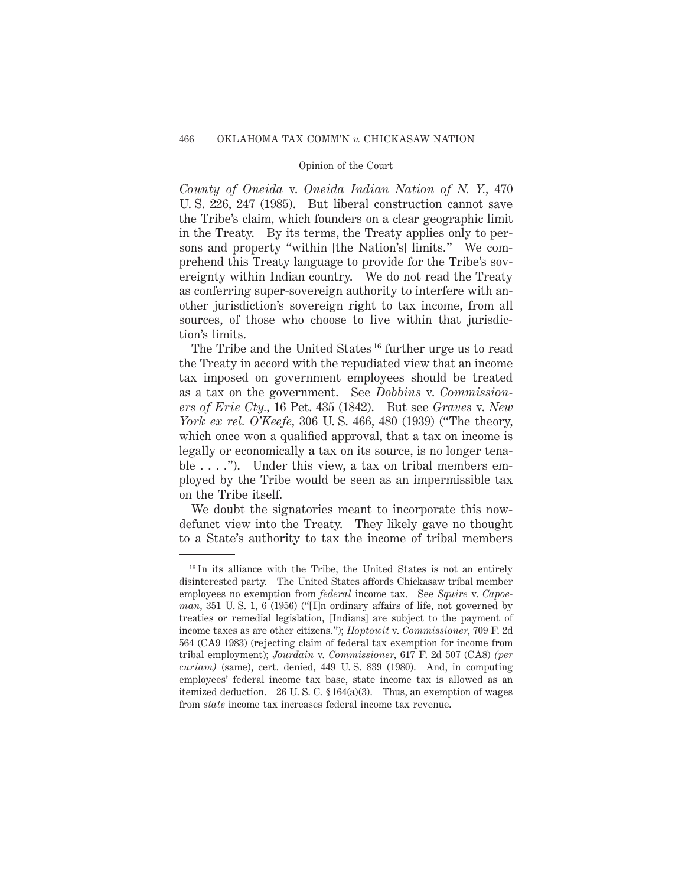*County of Oneida* v. *Oneida Indian Nation of N. Y.,* 470 U. S. 226, 247 (1985). But liberal construction cannot save the Tribe's claim, which founders on a clear geographic limit in the Treaty. By its terms, the Treaty applies only to persons and property "within [the Nation's] limits." We comprehend this Treaty language to provide for the Tribe's sovereignty within Indian country. We do not read the Treaty as conferring super-sovereign authority to interfere with another jurisdiction's sovereign right to tax income, from all sources, of those who choose to live within that jurisdiction's limits.

The Tribe and the United States<sup>16</sup> further urge us to read the Treaty in accord with the repudiated view that an income tax imposed on government employees should be treated as a tax on the government. See *Dobbins* v. *Commissioners of Erie Cty.,* 16 Pet. 435 (1842). But see *Graves* v. *New York ex rel. O'Keefe,* 306 U. S. 466, 480 (1939) ("The theory, which once won a qualified approval, that a tax on income is legally or economically a tax on its source, is no longer tenable  $\dots$ ."). Under this view, a tax on tribal members employed by the Tribe would be seen as an impermissible tax on the Tribe itself.

We doubt the signatories meant to incorporate this nowdefunct view into the Treaty. They likely gave no thought to a State's authority to tax the income of tribal members

<sup>&</sup>lt;sup>16</sup> In its alliance with the Tribe, the United States is not an entirely disinterested party. The United States affords Chickasaw tribal member employees no exemption from *federal* income tax. See *Squire* v. *Capoeman,* 351 U. S. 1, 6 (1956) ("[I]n ordinary affairs of life, not governed by treaties or remedial legislation, [Indians] are subject to the payment of income taxes as are other citizens."); *Hoptowit* v. *Commissioner,* 709 F. 2d 564 (CA9 1983) (rejecting claim of federal tax exemption for income from tribal employment); *Jourdain* v. *Commissioner,* 617 F. 2d 507 (CA8) *(per curiam)* (same), cert. denied, 449 U. S. 839 (1980). And, in computing employees' federal income tax base, state income tax is allowed as an itemized deduction. 26 U. S. C. § 164(a)(3). Thus, an exemption of wages from *state* income tax increases federal income tax revenue.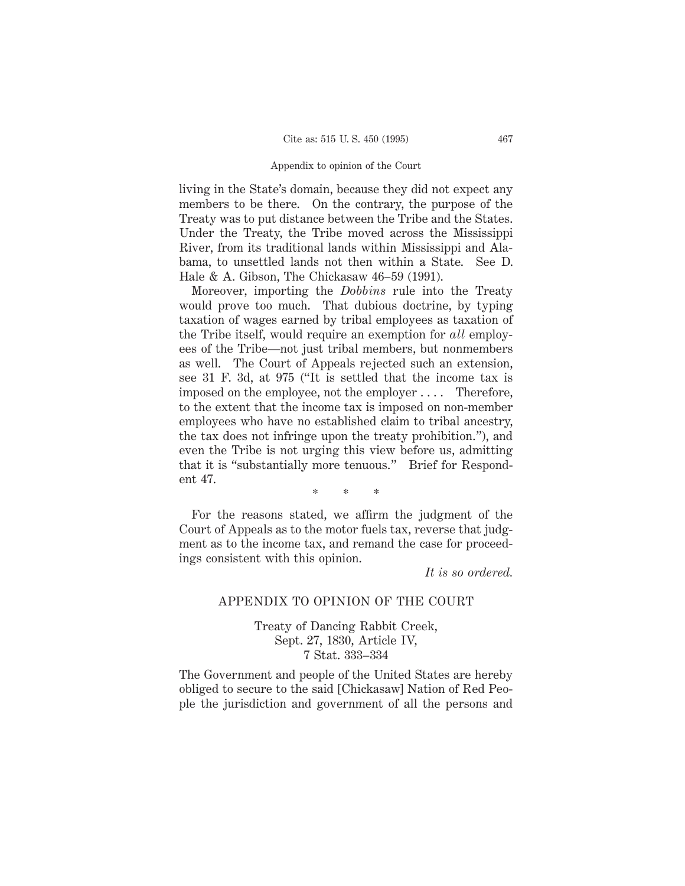## Appendix to opinion of the Court

living in the State's domain, because they did not expect any members to be there. On the contrary, the purpose of the Treaty was to put distance between the Tribe and the States. Under the Treaty, the Tribe moved across the Mississippi River, from its traditional lands within Mississippi and Alabama, to unsettled lands not then within a State. See D. Hale & A. Gibson, The Chickasaw 46–59 (1991).

Moreover, importing the *Dobbins* rule into the Treaty would prove too much. That dubious doctrine, by typing taxation of wages earned by tribal employees as taxation of the Tribe itself, would require an exemption for *all* employees of the Tribe—not just tribal members, but nonmembers as well. The Court of Appeals rejected such an extension, see 31 F. 3d, at 975 ("It is settled that the income tax is imposed on the employee, not the employer .... Therefore, to the extent that the income tax is imposed on non-member employees who have no established claim to tribal ancestry, the tax does not infringe upon the treaty prohibition."), and even the Tribe is not urging this view before us, admitting that it is "substantially more tenuous." Brief for Respondent 47.

\*\*\*

For the reasons stated, we affirm the judgment of the Court of Appeals as to the motor fuels tax, reverse that judgment as to the income tax, and remand the case for proceedings consistent with this opinion.

*It is so ordered.*

# APPENDIX TO OPINION OF THE COURT

Treaty of Dancing Rabbit Creek, Sept. 27, 1830, Article IV, 7 Stat. 333–334

The Government and people of the United States are hereby obliged to secure to the said [Chickasaw] Nation of Red People the jurisdiction and government of all the persons and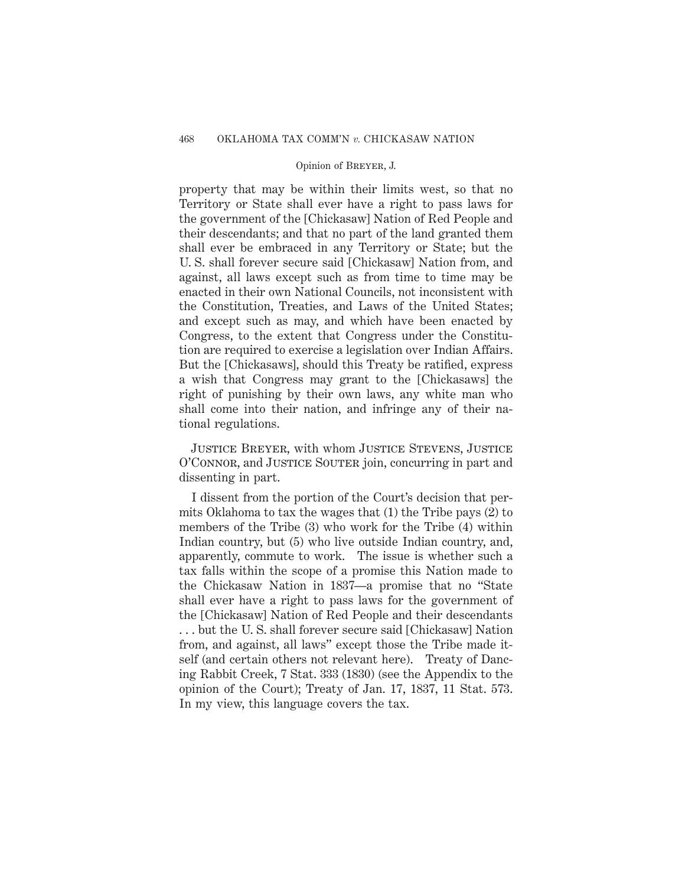property that may be within their limits west, so that no Territory or State shall ever have a right to pass laws for the government of the [Chickasaw] Nation of Red People and their descendants; and that no part of the land granted them shall ever be embraced in any Territory or State; but the U. S. shall forever secure said [Chickasaw] Nation from, and against, all laws except such as from time to time may be enacted in their own National Councils, not inconsistent with the Constitution, Treaties, and Laws of the United States; and except such as may, and which have been enacted by Congress, to the extent that Congress under the Constitution are required to exercise a legislation over Indian Affairs. But the [Chickasaws], should this Treaty be ratified, express a wish that Congress may grant to the [Chickasaws] the right of punishing by their own laws, any white man who shall come into their nation, and infringe any of their national regulations.

Justice Breyer, with whom Justice Stevens, Justice O'Connor, and Justice Souter join, concurring in part and dissenting in part.

I dissent from the portion of the Court's decision that permits Oklahoma to tax the wages that (1) the Tribe pays (2) to members of the Tribe (3) who work for the Tribe (4) within Indian country, but (5) who live outside Indian country, and, apparently, commute to work. The issue is whether such a tax falls within the scope of a promise this Nation made to the Chickasaw Nation in 1837—a promise that no "State shall ever have a right to pass laws for the government of the [Chickasaw] Nation of Red People and their descendants . . . but the U. S. shall forever secure said [Chickasaw] Nation from, and against, all laws" except those the Tribe made itself (and certain others not relevant here). Treaty of Dancing Rabbit Creek, 7 Stat. 333 (1830) (see the Appendix to the opinion of the Court); Treaty of Jan. 17, 1837, 11 Stat. 573. In my view, this language covers the tax.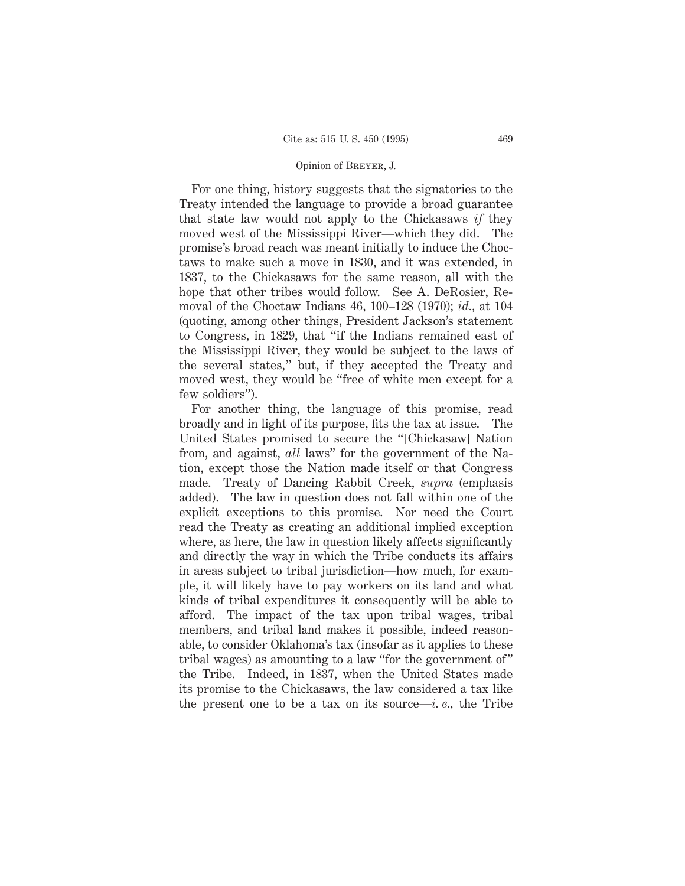For one thing, history suggests that the signatories to the Treaty intended the language to provide a broad guarantee that state law would not apply to the Chickasaws *if* they moved west of the Mississippi River—which they did. The promise's broad reach was meant initially to induce the Choctaws to make such a move in 1830, and it was extended, in 1837, to the Chickasaws for the same reason, all with the hope that other tribes would follow. See A. DeRosier, Removal of the Choctaw Indians 46, 100–128 (1970); *id.*, at 104 (quoting, among other things, President Jackson's statement to Congress, in 1829, that "if the Indians remained east of the Mississippi River, they would be subject to the laws of the several states," but, if they accepted the Treaty and moved west, they would be "free of white men except for a few soldiers").

For another thing, the language of this promise, read broadly and in light of its purpose, fits the tax at issue. The United States promised to secure the "[Chickasaw] Nation from, and against, *all* laws" for the government of the Nation, except those the Nation made itself or that Congress made. Treaty of Dancing Rabbit Creek, *supra* (emphasis added). The law in question does not fall within one of the explicit exceptions to this promise. Nor need the Court read the Treaty as creating an additional implied exception where, as here, the law in question likely affects significantly and directly the way in which the Tribe conducts its affairs in areas subject to tribal jurisdiction—how much, for example, it will likely have to pay workers on its land and what kinds of tribal expenditures it consequently will be able to afford. The impact of the tax upon tribal wages, tribal members, and tribal land makes it possible, indeed reasonable, to consider Oklahoma's tax (insofar as it applies to these tribal wages) as amounting to a law "for the government of" the Tribe. Indeed, in 1837, when the United States made its promise to the Chickasaws, the law considered a tax like the present one to be a tax on its source—*i. e.,* the Tribe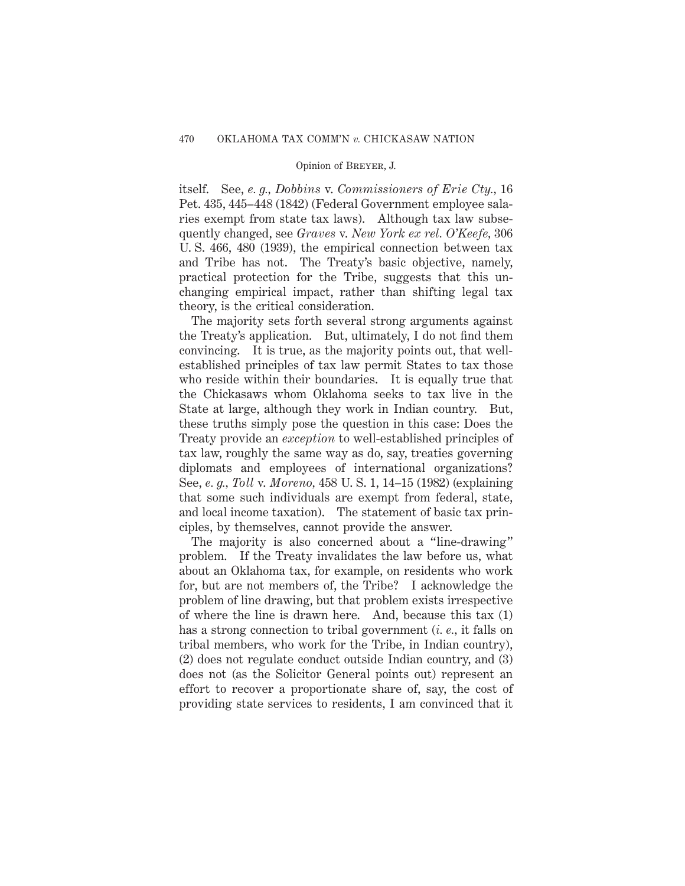itself. See, *e. g., Dobbins* v. *Commissioners of Erie Cty.,* 16 Pet. 435, 445–448 (1842) (Federal Government employee salaries exempt from state tax laws). Although tax law subsequently changed, see *Graves* v. *New York ex rel. O'Keefe,* 306 U. S. 466, 480 (1939), the empirical connection between tax and Tribe has not. The Treaty's basic objective, namely, practical protection for the Tribe, suggests that this unchanging empirical impact, rather than shifting legal tax theory, is the critical consideration.

The majority sets forth several strong arguments against the Treaty's application. But, ultimately, I do not find them convincing. It is true, as the majority points out, that wellestablished principles of tax law permit States to tax those who reside within their boundaries. It is equally true that the Chickasaws whom Oklahoma seeks to tax live in the State at large, although they work in Indian country. But, these truths simply pose the question in this case: Does the Treaty provide an *exception* to well-established principles of tax law, roughly the same way as do, say, treaties governing diplomats and employees of international organizations? See, *e. g., Toll* v. *Moreno,* 458 U. S. 1, 14–15 (1982) (explaining that some such individuals are exempt from federal, state, and local income taxation). The statement of basic tax principles, by themselves, cannot provide the answer.

The majority is also concerned about a "line-drawing" problem. If the Treaty invalidates the law before us, what about an Oklahoma tax, for example, on residents who work for, but are not members of, the Tribe? I acknowledge the problem of line drawing, but that problem exists irrespective of where the line is drawn here. And, because this tax (1) has a strong connection to tribal government (*i. e.,* it falls on tribal members, who work for the Tribe, in Indian country), (2) does not regulate conduct outside Indian country, and (3) does not (as the Solicitor General points out) represent an effort to recover a proportionate share of, say, the cost of providing state services to residents, I am convinced that it